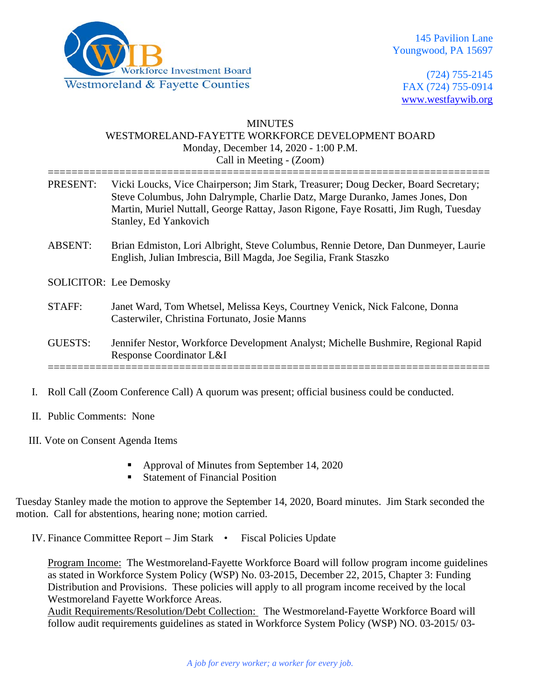

(724) 755-2145 FAX (724) 755-0914 [www.westfaywib.org](http://www.westfaywib.org/)

#### MINUTES WESTMORELAND-FAYETTE WORKFORCE DEVELOPMENT BOARD Monday, December 14, 2020 - 1:00 P.M. Call in Meeting - (Zoom)

| PRESENT:       | Vicki Loucks, Vice Chairperson; Jim Stark, Treasurer; Doug Decker, Board Secretary;<br>Steve Columbus, John Dalrymple, Charlie Datz, Marge Duranko, James Jones, Don<br>Martin, Muriel Nuttall, George Rattay, Jason Rigone, Faye Rosatti, Jim Rugh, Tuesday<br>Stanley, Ed Yankovich |
|----------------|---------------------------------------------------------------------------------------------------------------------------------------------------------------------------------------------------------------------------------------------------------------------------------------|
| <b>ABSENT:</b> | Brian Edmiston, Lori Albright, Steve Columbus, Rennie Detore, Dan Dunmeyer, Laurie<br>English, Julian Imbrescia, Bill Magda, Joe Segilia, Frank Staszko                                                                                                                               |
|                | <b>SOLICITOR:</b> Lee Demosky                                                                                                                                                                                                                                                         |
| STAFF:         | Janet Ward, Tom Whetsel, Melissa Keys, Courtney Venick, Nick Falcone, Donna<br>Casterwiler, Christina Fortunato, Josie Manns                                                                                                                                                          |
| GUESTS:        | Jennifer Nestor, Workforce Development Analyst; Michelle Bushmire, Regional Rapid<br>Response Coordinator L&I                                                                                                                                                                         |
|                |                                                                                                                                                                                                                                                                                       |

- I. Roll Call (Zoom Conference Call) A quorum was present; official business could be conducted.
- II. Public Comments: None
- III. Vote on Consent Agenda Items
	- Approval of Minutes from September 14, 2020
	- Statement of Financial Position

Tuesday Stanley made the motion to approve the September 14, 2020, Board minutes. Jim Stark seconded the motion. Call for abstentions, hearing none; motion carried.

IV. Finance Committee Report – Jim Stark • Fiscal Policies Update

Program Income: The Westmoreland-Fayette Workforce Board will follow program income guidelines as stated in Workforce System Policy (WSP) No. 03-2015, December 22, 2015, Chapter 3: Funding Distribution and Provisions. These policies will apply to all program income received by the local Westmoreland Fayette Workforce Areas.

Audit Requirements/Resolution/Debt Collection: The Westmoreland-Fayette Workforce Board will follow audit requirements guidelines as stated in Workforce System Policy (WSP) NO. 03-2015/ 03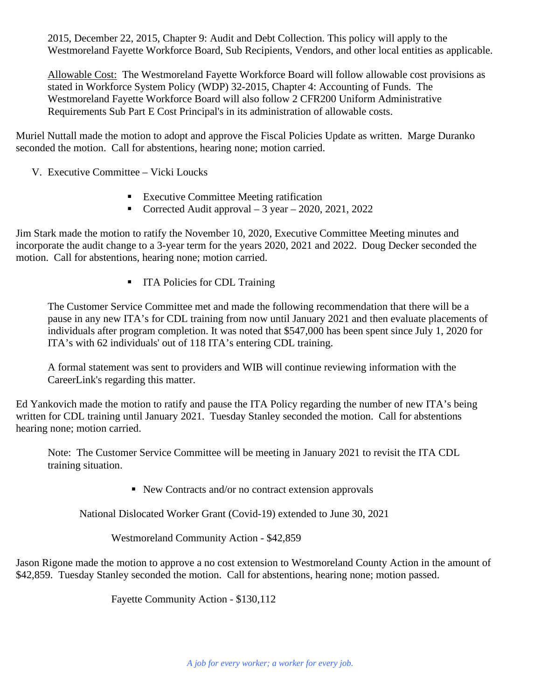2015, December 22, 2015, Chapter 9: Audit and Debt Collection. This policy will apply to the Westmoreland Fayette Workforce Board, Sub Recipients, Vendors, and other local entities as applicable.

Allowable Cost: The Westmoreland Fayette Workforce Board will follow allowable cost provisions as stated in Workforce System Policy (WDP) 32-2015, Chapter 4: Accounting of Funds. The Westmoreland Fayette Workforce Board will also follow 2 CFR200 Uniform Administrative Requirements Sub Part E Cost Principal's in its administration of allowable costs.

Muriel Nuttall made the motion to adopt and approve the Fiscal Policies Update as written. Marge Duranko seconded the motion. Call for abstentions, hearing none; motion carried.

V. Executive Committee – Vicki Loucks

- Executive Committee Meeting ratification
- Corrected Audit approval  $-3$  year  $-2020$ , 2021, 2022

Jim Stark made the motion to ratify the November 10, 2020, Executive Committee Meeting minutes and incorporate the audit change to a 3-year term for the years 2020, 2021 and 2022. Doug Decker seconded the motion. Call for abstentions, hearing none; motion carried.

■ ITA Policies for CDL Training

The Customer Service Committee met and made the following recommendation that there will be a pause in any new ITA's for CDL training from now until January 2021 and then evaluate placements of individuals after program completion. It was noted that \$547,000 has been spent since July 1, 2020 for ITA's with 62 individuals' out of 118 ITA's entering CDL training.

A formal statement was sent to providers and WIB will continue reviewing information with the CareerLink's regarding this matter.

Ed Yankovich made the motion to ratify and pause the ITA Policy regarding the number of new ITA's being written for CDL training until January 2021. Tuesday Stanley seconded the motion. Call for abstentions hearing none; motion carried.

Note: The Customer Service Committee will be meeting in January 2021 to revisit the ITA CDL training situation.

■ New Contracts and/or no contract extension approvals

National Dislocated Worker Grant (Covid-19) extended to June 30, 2021

Westmoreland Community Action - \$42,859

Jason Rigone made the motion to approve a no cost extension to Westmoreland County Action in the amount of \$42,859. Tuesday Stanley seconded the motion. Call for abstentions, hearing none; motion passed.

Fayette Community Action - \$130,112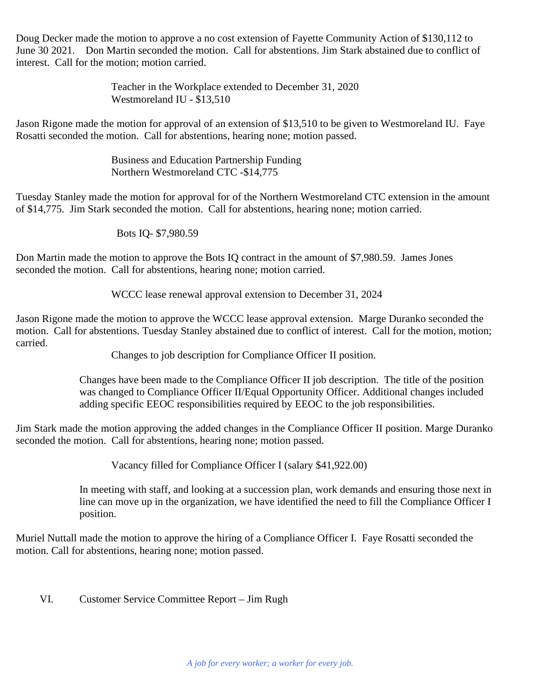Doug Decker made the motion to approve a no cost extension of Fayette Community Action of \$130,112 to June 30 2021. Don Martin seconded the motion. Call for abstentions. Jim Stark abstained due to conflict of interest. Call for the motion; motion carried.

> Teacher in the Workplace extended to December 31, 2020 Westmoreland IU - \$13,510

Jason Rigone made the motion for approval of an extension of \$13,510 to be given to Westmoreland IU. Faye Rosatti seconded the motion. Call for abstentions, hearing none; motion passed.

> Business and Education Partnership Funding Northern Westmoreland CTC -\$14,775

Tuesday Stanley made the motion for approval for of the Northern Westmoreland CTC extension in the amount of \$14,775. Jim Stark seconded the motion. Call for abstentions, hearing none; motion carried.

Bots IQ- \$7,980.59

Don Martin made the motion to approve the Bots IQ contract in the amount of \$7,980.59. James Jones seconded the motion. Call for abstentions, hearing none; motion carried.

WCCC lease renewal approval extension to December 31, 2024

Jason Rigone made the motion to approve the WCCC lease approval extension. Marge Duranko seconded the motion. Call for abstentions. Tuesday Stanley abstained due to conflict of interest. Call for the motion, motion; carried.

Changes to job description for Compliance Officer II position.

Changes have been made to the Compliance Officer II job description. The title of the position was changed to Compliance Officer II/Equal Opportunity Officer. Additional changes included adding specific EEOC responsibilities required by EEOC to the job responsibilities.

Jim Stark made the motion approving the added changes in the Compliance Officer II position. Marge Duranko seconded the motion. Call for abstentions, hearing none; motion passed.

Vacancy filled for Compliance Officer I (salary \$41,922.00)

In meeting with staff, and looking at a succession plan, work demands and ensuring those next in line can move up in the organization, we have identified the need to fill the Compliance Officer I position.

Muriel Nuttall made the motion to approve the hiring of a Compliance Officer I. Faye Rosatti seconded the motion. Call for abstentions, hearing none; motion passed.

VI. Customer Service Committee Report – Jim Rugh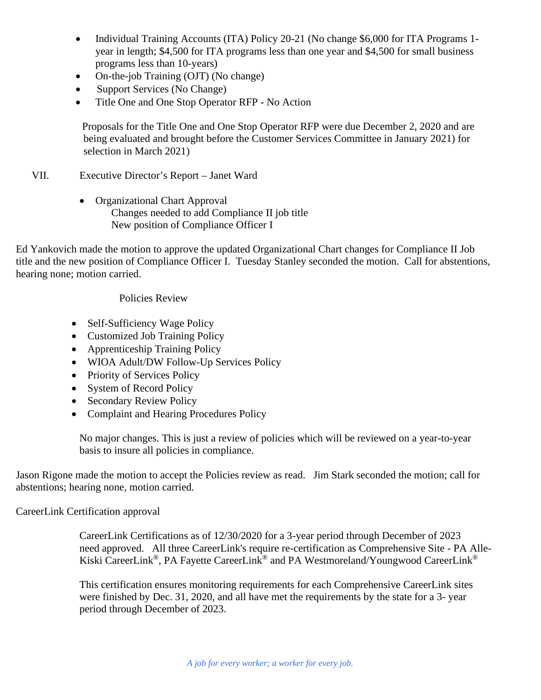- Individual Training Accounts (ITA) Policy 20-21 (No change \$6,000 for ITA Programs 1year in length; \$4,500 for ITA programs less than one year and \$4,500 for small business programs less than 10-years)
- On-the-job Training (OJT) (No change)
- Support Services (No Change)
- Title One and One Stop Operator RFP No Action

Proposals for the Title One and One Stop Operator RFP were due December 2, 2020 and are being evaluated and brought before the Customer Services Committee in January 2021) for selection in March 2021)

- VII. Executive Director's Report Janet Ward
	- Organizational Chart Approval Changes needed to add Compliance II job title New position of Compliance Officer I

Ed Yankovich made the motion to approve the updated Organizational Chart changes for Compliance II Job title and the new position of Compliance Officer I. Tuesday Stanley seconded the motion. Call for abstentions, hearing none; motion carried.

#### Policies Review

- Self-Sufficiency Wage Policy
- Customized Job Training Policy
- Apprenticeship Training Policy
- WIOA Adult/DW Follow-Up Services Policy
- Priority of Services Policy
- System of Record Policy
- Secondary Review Policy
- Complaint and Hearing Procedures Policy

No major changes. This is just a review of policies which will be reviewed on a year-to-year basis to insure all policies in compliance.

Jason Rigone made the motion to accept the Policies review as read. Jim Stark seconded the motion; call for abstentions; hearing none, motion carried.

CareerLink Certification approval

CareerLink Certifications as of 12/30/2020 for a 3-year period through December of 2023 need approved. All three CareerLink's require re-certification as Comprehensive Site - PA Alle-Kiski CareerLink®, PA Fayette CareerLink® and PA Westmoreland/Youngwood CareerLink®

This certification ensures monitoring requirements for each Comprehensive CareerLink sites were finished by Dec. 31, 2020, and all have met the requirements by the state for a 3- year period through December of 2023.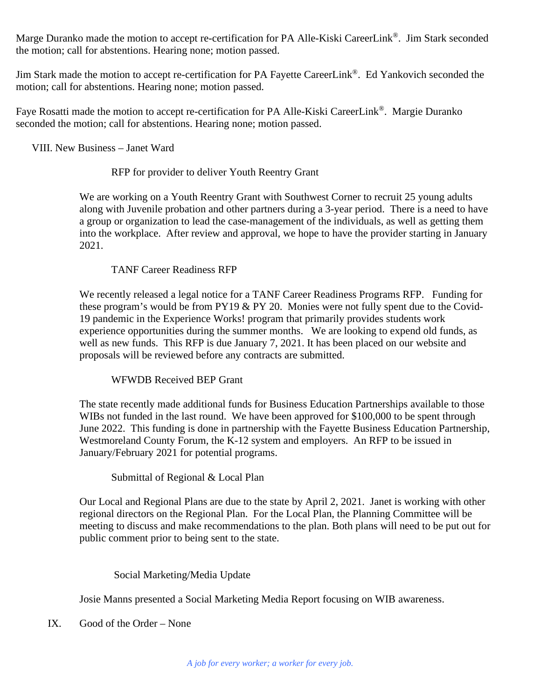Marge Duranko made the motion to accept re-certification for PA Alle-Kiski CareerLink®. Jim Stark seconded the motion; call for abstentions. Hearing none; motion passed.

Jim Stark made the motion to accept re-certification for PA Fayette CareerLink®. Ed Yankovich seconded the motion; call for abstentions. Hearing none; motion passed.

Faye Rosatti made the motion to accept re-certification for PA Alle-Kiski CareerLink®. Margie Duranko seconded the motion; call for abstentions. Hearing none; motion passed.

VIII. New Business – Janet Ward

#### RFP for provider to deliver Youth Reentry Grant

We are working on a Youth Reentry Grant with Southwest Corner to recruit 25 young adults along with Juvenile probation and other partners during a 3-year period. There is a need to have a group or organization to lead the case-management of the individuals, as well as getting them into the workplace. After review and approval, we hope to have the provider starting in January 2021.

## TANF Career Readiness RFP

We recently released a legal notice for a TANF Career Readiness Programs RFP. Funding for these program's would be from PY19 & PY 20. Monies were not fully spent due to the Covid-19 pandemic in the Experience Works! program that primarily provides students work experience opportunities during the summer months. We are looking to expend old funds, as well as new funds. This RFP is due January 7, 2021. It has been placed on our website and proposals will be reviewed before any contracts are submitted.

## WFWDB Received BEP Grant

The state recently made additional funds for Business Education Partnerships available to those WIBs not funded in the last round. We have been approved for \$100,000 to be spent through June 2022. This funding is done in partnership with the Fayette Business Education Partnership, Westmoreland County Forum, the K-12 system and employers. An RFP to be issued in January/February 2021 for potential programs.

Submittal of Regional & Local Plan

Our Local and Regional Plans are due to the state by April 2, 2021. Janet is working with other regional directors on the Regional Plan. For the Local Plan, the Planning Committee will be meeting to discuss and make recommendations to the plan. Both plans will need to be put out for public comment prior to being sent to the state.

## Social Marketing/Media Update

Josie Manns presented a Social Marketing Media Report focusing on WIB awareness.

IX. Good of the Order – None